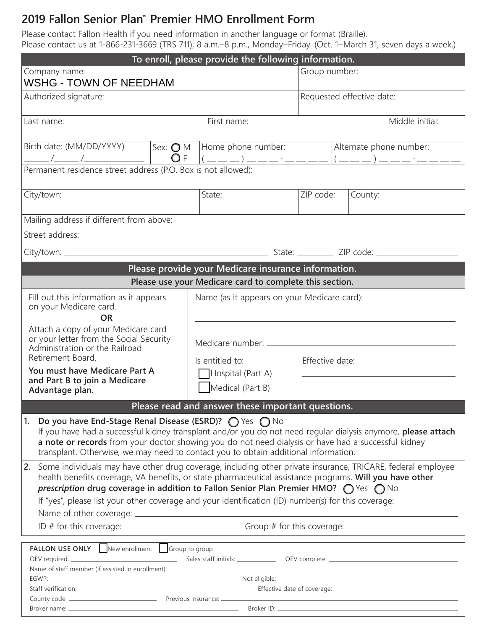# **2019 Fallon Senior Plan™ Premier HMO Enrollment Form**

Please contact Fallon Health if you need information in another language or format (Braille). Please contact us at 1-866-231-3669 (TRS 711), 8 a.m.–8 p.m., Monday–Friday. (Oct. 1–March 31, seven days a week.)

| To enroll, please provide the following information.                                                                                                                                                                                                                                                                                                                                                                                               |                                                   |                           |  |
|----------------------------------------------------------------------------------------------------------------------------------------------------------------------------------------------------------------------------------------------------------------------------------------------------------------------------------------------------------------------------------------------------------------------------------------------------|---------------------------------------------------|---------------------------|--|
| Company name:<br><b>WSHG - TOWN OF NEEDHAM</b>                                                                                                                                                                                                                                                                                                                                                                                                     |                                                   | Group number:             |  |
| Authorized signature:                                                                                                                                                                                                                                                                                                                                                                                                                              |                                                   | Requested effective date: |  |
| Last name:                                                                                                                                                                                                                                                                                                                                                                                                                                         | First name:                                       | Middle initial:           |  |
| Birth date: (MM/DD/YYYY)<br>Sex: $\bigcirc$ M                                                                                                                                                                                                                                                                                                                                                                                                      | Home phone number:                                | Alternate phone number:   |  |
| Permanent residence street address (P.O. Box is not allowed):                                                                                                                                                                                                                                                                                                                                                                                      |                                                   |                           |  |
| City/town:                                                                                                                                                                                                                                                                                                                                                                                                                                         | State:                                            | ZIP code:<br>County:      |  |
| Mailing address if different from above:                                                                                                                                                                                                                                                                                                                                                                                                           |                                                   |                           |  |
|                                                                                                                                                                                                                                                                                                                                                                                                                                                    |                                                   |                           |  |
|                                                                                                                                                                                                                                                                                                                                                                                                                                                    |                                                   |                           |  |
|                                                                                                                                                                                                                                                                                                                                                                                                                                                    |                                                   |                           |  |
| Please provide your Medicare insurance information.<br>Please use your Medicare card to complete this section.                                                                                                                                                                                                                                                                                                                                     |                                                   |                           |  |
| Fill out this information as it appears<br>on your Medicare card.<br><b>OR</b>                                                                                                                                                                                                                                                                                                                                                                     | Name (as it appears on your Medicare card):       |                           |  |
| Attach a copy of your Medicare card<br>or your letter from the Social Security<br>Administration or the Railroad<br>Retirement Board.                                                                                                                                                                                                                                                                                                              | Is entitled to:                                   | Effective date:           |  |
| You must have Medicare Part A<br>and Part B to join a Medicare<br>Advantage plan.                                                                                                                                                                                                                                                                                                                                                                  | Hospital (Part A)<br>Medical (Part B)             |                           |  |
|                                                                                                                                                                                                                                                                                                                                                                                                                                                    | Please read and answer these important questions. |                           |  |
| Do you have End-Stage Renal Disease (ESRD)? $\bigcirc$ Yes $\bigcirc$ No<br>1.<br>If you have had a successful kidney transplant and/or you do not need regular dialysis anymore, please attach<br>a note or records from your doctor showing you do not need dialysis or have had a successful kidney<br>transplant. Otherwise, we may need to contact you to obtain additional information.                                                      |                                                   |                           |  |
| Some individuals may have other drug coverage, including other private insurance, TRICARE, federal employee<br>2.<br>health benefits coverage, VA benefits, or state pharmaceutical assistance programs. Will you have other<br><i>prescription</i> drug coverage in addition to Fallon Senior Plan Premier HMO? $\bigcap$ Yes $\bigcap$ No<br>If "yes", please list your other coverage and your identification (ID) number(s) for this coverage: |                                                   |                           |  |
|                                                                                                                                                                                                                                                                                                                                                                                                                                                    |                                                   |                           |  |
| FALLON USE ONLY New enrollment Group to group<br>Name of staff member (if assisted in enrollment): ______________________________                                                                                                                                                                                                                                                                                                                  |                                                   |                           |  |
|                                                                                                                                                                                                                                                                                                                                                                                                                                                    |                                                   |                           |  |
|                                                                                                                                                                                                                                                                                                                                                                                                                                                    |                                                   |                           |  |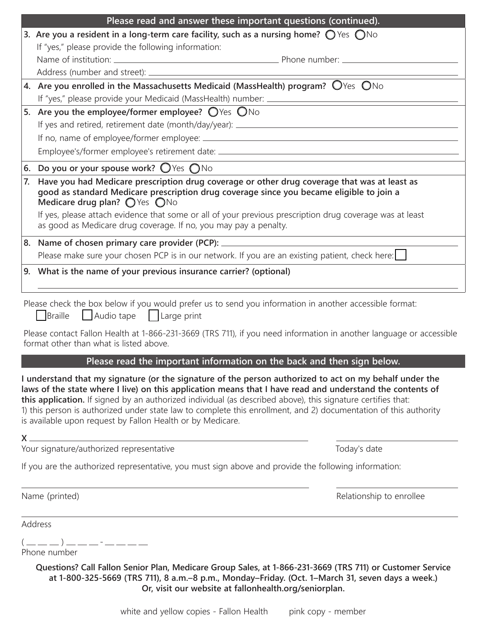|    | Please read and answer these important questions (continued).                                                                                                                                                                                                                                                                                                                                                                                                                                                                                                                                                                                                                   |  |  |
|----|---------------------------------------------------------------------------------------------------------------------------------------------------------------------------------------------------------------------------------------------------------------------------------------------------------------------------------------------------------------------------------------------------------------------------------------------------------------------------------------------------------------------------------------------------------------------------------------------------------------------------------------------------------------------------------|--|--|
|    | 3. Are you a resident in a long-term care facility, such as a nursing home? $\bigcirc$ Yes $\bigcirc$ No                                                                                                                                                                                                                                                                                                                                                                                                                                                                                                                                                                        |  |  |
|    | If "yes," please provide the following information:                                                                                                                                                                                                                                                                                                                                                                                                                                                                                                                                                                                                                             |  |  |
|    |                                                                                                                                                                                                                                                                                                                                                                                                                                                                                                                                                                                                                                                                                 |  |  |
|    |                                                                                                                                                                                                                                                                                                                                                                                                                                                                                                                                                                                                                                                                                 |  |  |
|    | 4. Are you enrolled in the Massachusetts Medicaid (MassHealth) program? $\bigcirc$ Yes $\bigcirc$ No<br>If "yes," please provide your Medicaid (MassHealth) number: _____________________                                                                                                                                                                                                                                                                                                                                                                                                                                                                                       |  |  |
|    |                                                                                                                                                                                                                                                                                                                                                                                                                                                                                                                                                                                                                                                                                 |  |  |
|    | 5. Are you the employee/former employee? $\bigcirc$ Yes $\bigcirc$ No                                                                                                                                                                                                                                                                                                                                                                                                                                                                                                                                                                                                           |  |  |
|    |                                                                                                                                                                                                                                                                                                                                                                                                                                                                                                                                                                                                                                                                                 |  |  |
|    |                                                                                                                                                                                                                                                                                                                                                                                                                                                                                                                                                                                                                                                                                 |  |  |
|    | Employee's/former employee's retirement date: __________________________________                                                                                                                                                                                                                                                                                                                                                                                                                                                                                                                                                                                                |  |  |
|    | 6. Do you or your spouse work? $\bigcirc$ Yes $\bigcirc$ No                                                                                                                                                                                                                                                                                                                                                                                                                                                                                                                                                                                                                     |  |  |
| 7. | Have you had Medicare prescription drug coverage or other drug coverage that was at least as<br>good as standard Medicare prescription drug coverage since you became eligible to join a<br>Medicare drug plan? $\bigcirc$ Yes $\bigcirc$ No<br>If yes, please attach evidence that some or all of your previous prescription drug coverage was at least<br>as good as Medicare drug coverage. If no, you may pay a penalty.                                                                                                                                                                                                                                                    |  |  |
|    | 8. Name of chosen primary care provider (PCP): _________________________________                                                                                                                                                                                                                                                                                                                                                                                                                                                                                                                                                                                                |  |  |
|    | Please make sure your chosen PCP is in our network. If you are an existing patient, check here: $\Box$                                                                                                                                                                                                                                                                                                                                                                                                                                                                                                                                                                          |  |  |
|    |                                                                                                                                                                                                                                                                                                                                                                                                                                                                                                                                                                                                                                                                                 |  |  |
|    | 9. What is the name of your previous insurance carrier? (optional)                                                                                                                                                                                                                                                                                                                                                                                                                                                                                                                                                                                                              |  |  |
|    | Audio tape   Large print<br>Braille<br>Please contact Fallon Health at 1-866-231-3669 (TRS 711), if you need information in another language or accessible<br>format other than what is listed above.                                                                                                                                                                                                                                                                                                                                                                                                                                                                           |  |  |
|    |                                                                                                                                                                                                                                                                                                                                                                                                                                                                                                                                                                                                                                                                                 |  |  |
|    | Please read the important information on the back and then sign below.                                                                                                                                                                                                                                                                                                                                                                                                                                                                                                                                                                                                          |  |  |
|    | I understand that my signature (or the signature of the person authorized to act on my behalf under the<br>laws of the state where I live) on this application means that I have read and understand the contents of<br>this application. If signed by an authorized individual (as described above), this signature certifies that:<br>1) this person is authorized under state law to complete this enrollment, and 2) documentation of this authority<br>is available upon request by Fallon Health or by Medicare.<br>$X \underline{\hspace{1cm}}$<br><u> 1989 - Johann Stoff, deutscher Stoff, der Stoff, der Stoff, der Stoff, der Stoff, der Stoff, der Stoff, der S</u> |  |  |
|    | Your signature/authorized representative<br>Today's date                                                                                                                                                                                                                                                                                                                                                                                                                                                                                                                                                                                                                        |  |  |
|    | If you are the authorized representative, you must sign above and provide the following information:                                                                                                                                                                                                                                                                                                                                                                                                                                                                                                                                                                            |  |  |
|    | Name (printed)<br>Relationship to enrollee                                                                                                                                                                                                                                                                                                                                                                                                                                                                                                                                                                                                                                      |  |  |
|    | Address                                                                                                                                                                                                                                                                                                                                                                                                                                                                                                                                                                                                                                                                         |  |  |
|    | $($ _ _ _ ) _ _ _ - _ - _ _ _<br>Phone number                                                                                                                                                                                                                                                                                                                                                                                                                                                                                                                                                                                                                                   |  |  |
|    | Questions? Call Fallon Senior Plan, Medicare Group Sales, at 1-866-231-3669 (TRS 711) or Customer Service<br>at 1-800-325-5669 (TRS 711), 8 a.m.-8 p.m., Monday-Friday. (Oct. 1-March 31, seven days a week.)                                                                                                                                                                                                                                                                                                                                                                                                                                                                   |  |  |

**Or, visit our website at fallonhealth.org/seniorplan.**